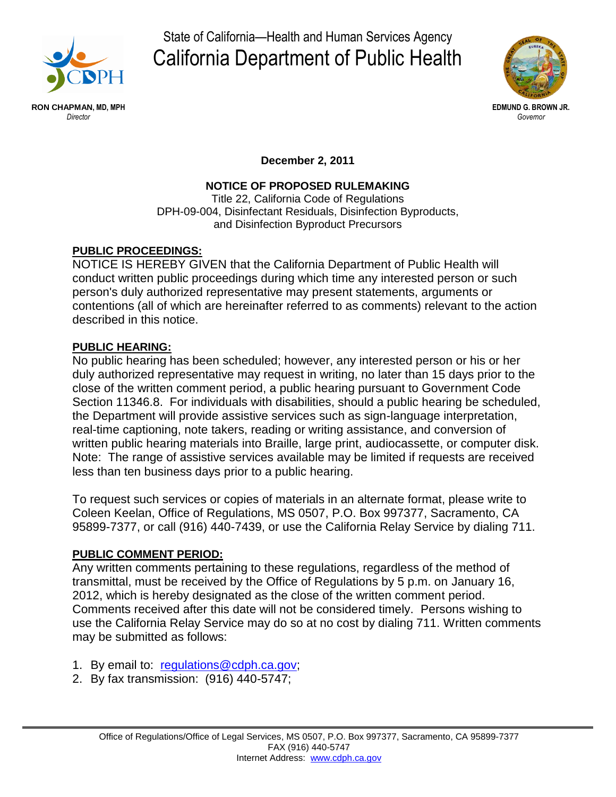

State of California—Health and Human Services Agency California Department of Public Health



**December 2, 2011**

# **NOTICE OF PROPOSED RULEMAKING**

Title 22, California Code of Regulations DPH-09-004, Disinfectant Residuals, Disinfection Byproducts, and Disinfection Byproduct Precursors

# **PUBLIC PROCEEDINGS:**

NOTICE IS HEREBY GIVEN that the California Department of Public Health will conduct written public proceedings during which time any interested person or such person's duly authorized representative may present statements, arguments or contentions (all of which are hereinafter referred to as comments) relevant to the action described in this notice.

### **PUBLIC HEARING:**

No public hearing has been scheduled; however, any interested person or his or her duly authorized representative may request in writing, no later than 15 days prior to the close of the written comment period, a public hearing pursuant to Government Code Section 11346.8. For individuals with disabilities, should a public hearing be scheduled, the Department will provide assistive services such as sign-language interpretation, real-time captioning, note takers, reading or writing assistance, and conversion of written public hearing materials into Braille, large print, audiocassette, or computer disk. Note: The range of assistive services available may be limited if requests are received less than ten business days prior to a public hearing.

To request such services or copies of materials in an alternate format, please write to Coleen Keelan, Office of Regulations, MS 0507, P.O. Box 997377, Sacramento, CA 95899-7377, or call (916) 440-7439, or use the California Relay Service by dialing 711.

### **PUBLIC COMMENT PERIOD:**

Any written comments pertaining to these regulations, regardless of the method of transmittal, must be received by the Office of Regulations by 5 p.m. on January 16, 2012, which is hereby designated as the close of the written comment period. Comments received after this date will not be considered timely. Persons wishing to use the California Relay Service may do so at no cost by dialing 711. Written comments may be submitted as follows:

- 1. By email to: [regulations@cdph.ca.gov;](mailto:regulations@cdph.ca.gov)
- 2. By fax transmission: (916) 440-5747;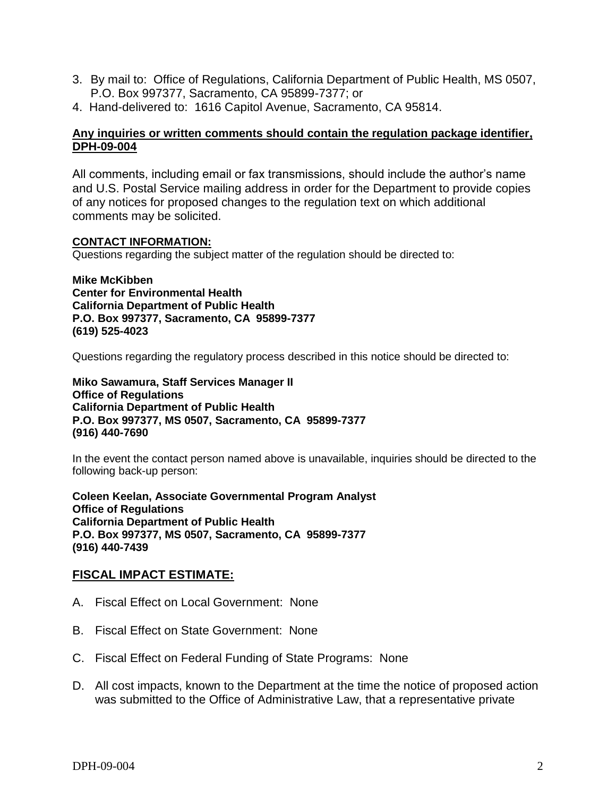- 3. By mail to: Office of Regulations, California Department of Public Health, MS 0507, P.O. Box 997377, Sacramento, CA 95899-7377; or
- 4. Hand-delivered to: 1616 Capitol Avenue, Sacramento, CA 95814.

#### **Any inquiries or written comments should contain the regulation package identifier, DPH-09-004**

All comments, including email or fax transmissions, should include the author's name and U.S. Postal Service mailing address in order for the Department to provide copies of any notices for proposed changes to the regulation text on which additional comments may be solicited.

#### **CONTACT INFORMATION:**

Questions regarding the subject matter of the regulation should be directed to:

**Mike McKibben Center for Environmental Health California Department of Public Health P.O. Box 997377, Sacramento, CA 95899-7377 (619) 525-4023**

Questions regarding the regulatory process described in this notice should be directed to:

**Miko Sawamura, Staff Services Manager II Office of Regulations California Department of Public Health P.O. Box 997377, MS 0507, Sacramento, CA 95899-7377 (916) 440-7690**

In the event the contact person named above is unavailable, inquiries should be directed to the following back-up person:

**Coleen Keelan, Associate Governmental Program Analyst Office of Regulations California Department of Public Health P.O. Box 997377, MS 0507, Sacramento, CA 95899-7377 (916) 440-7439**

#### **FISCAL IMPACT ESTIMATE:**

- A. Fiscal Effect on Local Government: None
- B. Fiscal Effect on State Government: None
- C. Fiscal Effect on Federal Funding of State Programs: None
- D. All cost impacts, known to the Department at the time the notice of proposed action was submitted to the Office of Administrative Law, that a representative private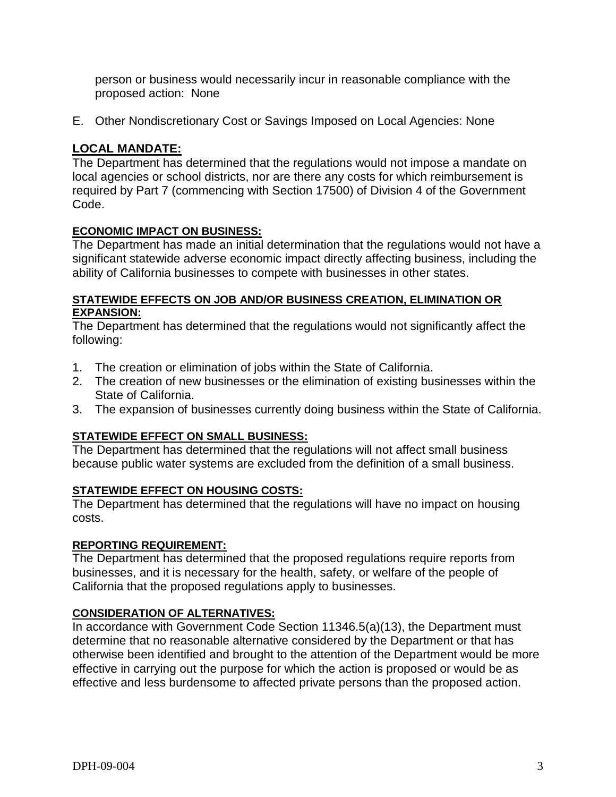person or business would necessarily incur in reasonable compliance with the proposed action: None

E. Other Nondiscretionary Cost or Savings Imposed on Local Agencies: None

# **LOCAL MANDATE:**

The Department has determined that the regulations would not impose a mandate on local agencies or school districts, nor are there any costs for which reimbursement is required by Part 7 (commencing with Section 17500) of Division 4 of the Government Code.

# **ECONOMIC IMPACT ON BUSINESS:**

The Department has made an initial determination that the regulations would not have a significant statewide adverse economic impact directly affecting business, including the ability of California businesses to compete with businesses in other states.

### **STATEWIDE EFFECTS ON JOB AND/OR BUSINESS CREATION, ELIMINATION OR EXPANSION:**

The Department has determined that the regulations would not significantly affect the following:

- 1. The creation or elimination of jobs within the State of California.
- 2. The creation of new businesses or the elimination of existing businesses within the State of California.
- 3. The expansion of businesses currently doing business within the State of California.

# **STATEWIDE EFFECT ON SMALL BUSINESS:**

The Department has determined that the regulations will not affect small business because public water systems are excluded from the definition of a small business.

### **STATEWIDE EFFECT ON HOUSING COSTS:**

The Department has determined that the regulations will have no impact on housing costs.

### **REPORTING REQUIREMENT:**

The Department has determined that the proposed regulations require reports from businesses, and it is necessary for the health, safety, or welfare of the people of California that the proposed regulations apply to businesses.

### **CONSIDERATION OF ALTERNATIVES:**

In accordance with Government Code Section 11346.5(a)(13), the Department must determine that no reasonable alternative considered by the Department or that has otherwise been identified and brought to the attention of the Department would be more effective in carrying out the purpose for which the action is proposed or would be as effective and less burdensome to affected private persons than the proposed action.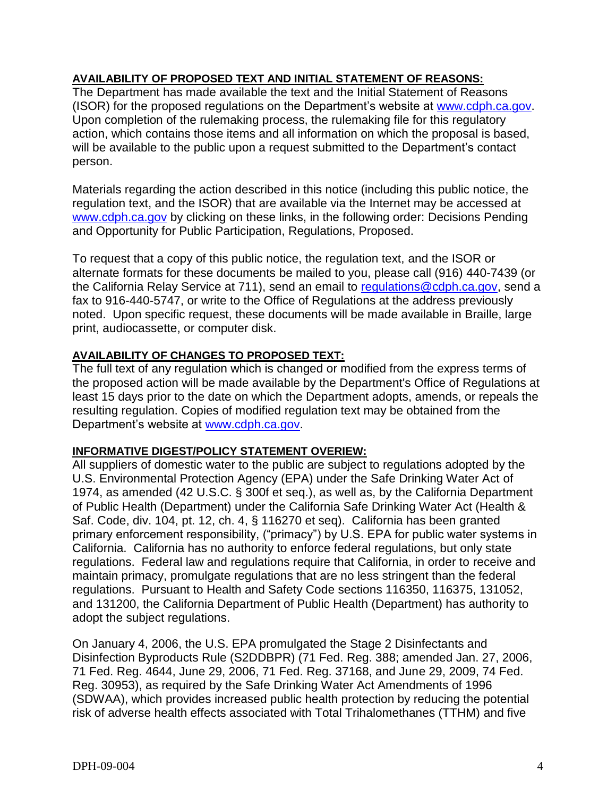### **AVAILABILITY OF PROPOSED TEXT AND INITIAL STATEMENT OF REASONS:**

The Department has made available the text and the Initial Statement of Reasons (ISOR) for the proposed regulations on the Department's website at [www.cdph.ca.gov.](http://www.cdph.ca.gov/) Upon completion of the rulemaking process, the rulemaking file for this regulatory action, which contains those items and all information on which the proposal is based, will be available to the public upon a request submitted to the Department's contact person.

Materials regarding the action described in this notice (including this public notice, the regulation text, and the ISOR) that are available via the Internet may be accessed at [www.cdph.ca.gov](http://www.cdph.ca.gov/) by clicking on these links, in the following order: Decisions Pending and Opportunity for Public Participation, Regulations, Proposed.

To request that a copy of this public notice, the regulation text, and the ISOR or alternate formats for these documents be mailed to you, please call (916) 440-7439 (or the California Relay Service at 711), send an email to [regulations@cdph.ca.gov,](mailto:regulations@cdph.ca.gov) send a fax to 916-440-5747, or write to the Office of Regulations at the address previously noted. Upon specific request, these documents will be made available in Braille, large print, audiocassette, or computer disk.

### **AVAILABILITY OF CHANGES TO PROPOSED TEXT:**

The full text of any regulation which is changed or modified from the express terms of the proposed action will be made available by the Department's Office of Regulations at least 15 days prior to the date on which the Department adopts, amends, or repeals the resulting regulation. Copies of modified regulation text may be obtained from the Department's website at [www.cdph.ca.gov.](http://www.cdph.ca.gov/)

### **INFORMATIVE DIGEST/POLICY STATEMENT OVERIEW:**

All suppliers of domestic water to the public are subject to regulations adopted by the U.S. Environmental Protection Agency (EPA) under the Safe Drinking Water Act of 1974, as amended (42 U.S.C. § 300f et seq.), as well as, by the California Department of Public Health (Department) under the California Safe Drinking Water Act (Health & Saf. Code, div. 104, pt. 12, ch. 4, § 116270 et seq). California has been granted primary enforcement responsibility, ("primacy") by U.S. EPA for public water systems in California. California has no authority to enforce federal regulations, but only state regulations. Federal law and regulations require that California, in order to receive and maintain primacy, promulgate regulations that are no less stringent than the federal regulations. Pursuant to Health and Safety Code sections 116350, 116375, 131052, and 131200, the California Department of Public Health (Department) has authority to adopt the subject regulations.

On January 4, 2006, the U.S. EPA promulgated the Stage 2 Disinfectants and Disinfection Byproducts Rule (S2DDBPR) (71 Fed. Reg. 388; amended Jan. 27, 2006, 71 Fed. Reg. 4644, June 29, 2006, 71 Fed. Reg. 37168, and June 29, 2009, 74 Fed. Reg. 30953), as required by the Safe Drinking Water Act Amendments of 1996 (SDWAA), which provides increased public health protection by reducing the potential risk of adverse health effects associated with Total Trihalomethanes (TTHM) and five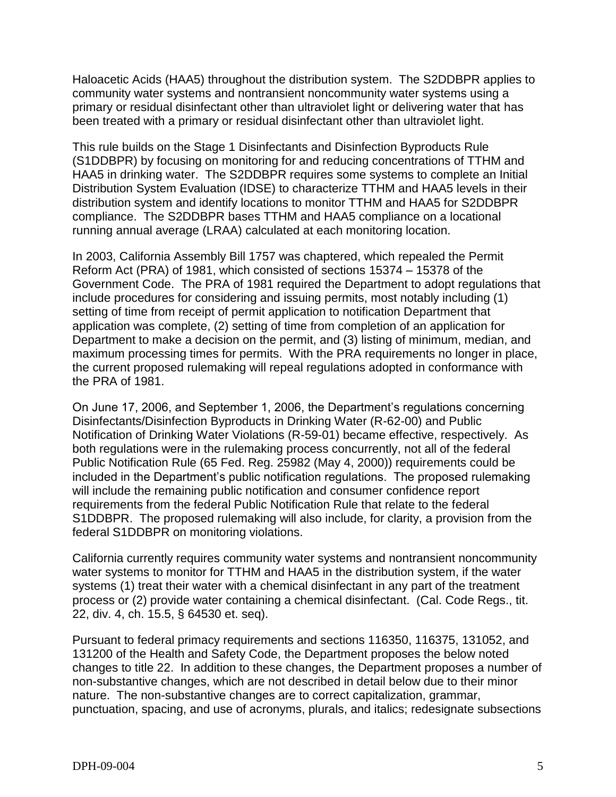Haloacetic Acids (HAA5) throughout the distribution system. The S2DDBPR applies to community water systems and nontransient noncommunity water systems using a primary or residual disinfectant other than ultraviolet light or delivering water that has been treated with a primary or residual disinfectant other than ultraviolet light.

This rule builds on the Stage 1 Disinfectants and Disinfection Byproducts Rule (S1DDBPR) by focusing on monitoring for and reducing concentrations of TTHM and HAA5 in drinking water. The S2DDBPR requires some systems to complete an Initial Distribution System Evaluation (IDSE) to characterize TTHM and HAA5 levels in their distribution system and identify locations to monitor TTHM and HAA5 for S2DDBPR compliance. The S2DDBPR bases TTHM and HAA5 compliance on a locational running annual average (LRAA) calculated at each monitoring location.

In 2003, California Assembly Bill 1757 was chaptered, which repealed the Permit Reform Act (PRA) of 1981, which consisted of sections 15374 – 15378 of the Government Code. The PRA of 1981 required the Department to adopt regulations that include procedures for considering and issuing permits, most notably including (1) setting of time from receipt of permit application to notification Department that application was complete, (2) setting of time from completion of an application for Department to make a decision on the permit, and (3) listing of minimum, median, and maximum processing times for permits. With the PRA requirements no longer in place, the current proposed rulemaking will repeal regulations adopted in conformance with the PRA of 1981.

On June 17, 2006, and September 1, 2006, the Department's regulations concerning Disinfectants/Disinfection Byproducts in Drinking Water (R-62-00) and Public Notification of Drinking Water Violations (R-59-01) became effective, respectively. As both regulations were in the rulemaking process concurrently, not all of the federal Public Notification Rule (65 Fed. Reg. 25982 (May 4, 2000)) requirements could be included in the Department's public notification regulations. The proposed rulemaking will include the remaining public notification and consumer confidence report requirements from the federal Public Notification Rule that relate to the federal S1DDBPR. The proposed rulemaking will also include, for clarity, a provision from the federal S1DDBPR on monitoring violations.

California currently requires community water systems and nontransient noncommunity water systems to monitor for TTHM and HAA5 in the distribution system, if the water systems (1) treat their water with a chemical disinfectant in any part of the treatment process or (2) provide water containing a chemical disinfectant. (Cal. Code Regs., tit. 22, div. 4, ch. 15.5, § 64530 et. seq).

Pursuant to federal primacy requirements and sections 116350, 116375, 131052, and 131200 of the Health and Safety Code, the Department proposes the below noted changes to title 22. In addition to these changes, the Department proposes a number of non-substantive changes, which are not described in detail below due to their minor nature. The non-substantive changes are to correct capitalization, grammar, punctuation, spacing, and use of acronyms, plurals, and italics; redesignate subsections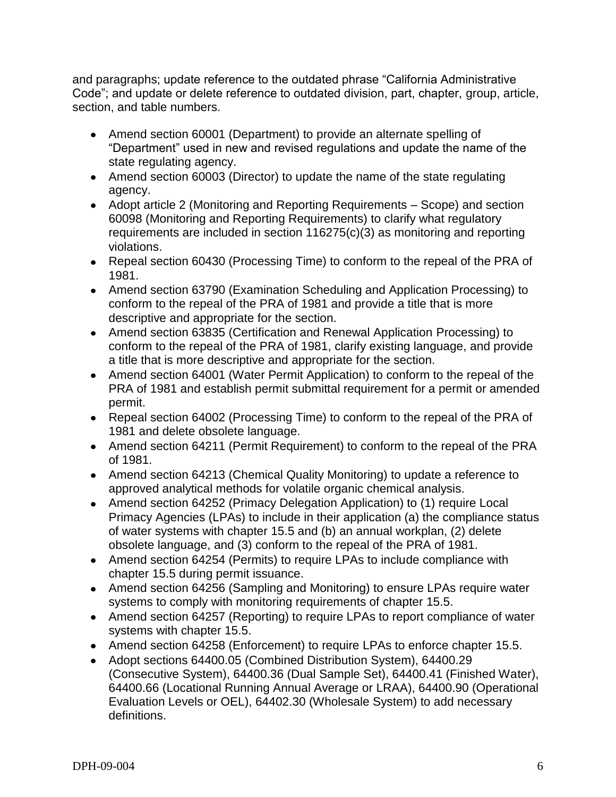and paragraphs; update reference to the outdated phrase "California Administrative Code"; and update or delete reference to outdated division, part, chapter, group, article, section, and table numbers.

- Amend section 60001 (Department) to provide an alternate spelling of "Department" used in new and revised regulations and update the name of the state regulating agency.
- Amend section 60003 (Director) to update the name of the state regulating agency.
- Adopt article 2 (Monitoring and Reporting Requirements Scope) and section 60098 (Monitoring and Reporting Requirements) to clarify what regulatory requirements are included in section 116275(c)(3) as monitoring and reporting violations.
- Repeal section 60430 (Processing Time) to conform to the repeal of the PRA of 1981.
- Amend section 63790 (Examination Scheduling and Application Processing) to conform to the repeal of the PRA of 1981 and provide a title that is more descriptive and appropriate for the section.
- Amend section 63835 (Certification and Renewal Application Processing) to conform to the repeal of the PRA of 1981, clarify existing language, and provide a title that is more descriptive and appropriate for the section.
- Amend section 64001 (Water Permit Application) to conform to the repeal of the PRA of 1981 and establish permit submittal requirement for a permit or amended permit.
- Repeal section 64002 (Processing Time) to conform to the repeal of the PRA of 1981 and delete obsolete language.
- Amend section 64211 (Permit Requirement) to conform to the repeal of the PRA of 1981.
- Amend section 64213 (Chemical Quality Monitoring) to update a reference to approved analytical methods for volatile organic chemical analysis.
- Amend section 64252 (Primacy Delegation Application) to (1) require Local Primacy Agencies (LPAs) to include in their application (a) the compliance status of water systems with chapter 15.5 and (b) an annual workplan, (2) delete obsolete language, and (3) conform to the repeal of the PRA of 1981.
- Amend section 64254 (Permits) to require LPAs to include compliance with chapter 15.5 during permit issuance.
- Amend section 64256 (Sampling and Monitoring) to ensure LPAs require water systems to comply with monitoring requirements of chapter 15.5.
- Amend section 64257 (Reporting) to require LPAs to report compliance of water systems with chapter 15.5.
- Amend section 64258 (Enforcement) to require LPAs to enforce chapter 15.5.
- Adopt sections 64400.05 (Combined Distribution System), 64400.29 (Consecutive System), 64400.36 (Dual Sample Set), 64400.41 (Finished Water), 64400.66 (Locational Running Annual Average or LRAA), 64400.90 (Operational Evaluation Levels or OEL), 64402.30 (Wholesale System) to add necessary definitions.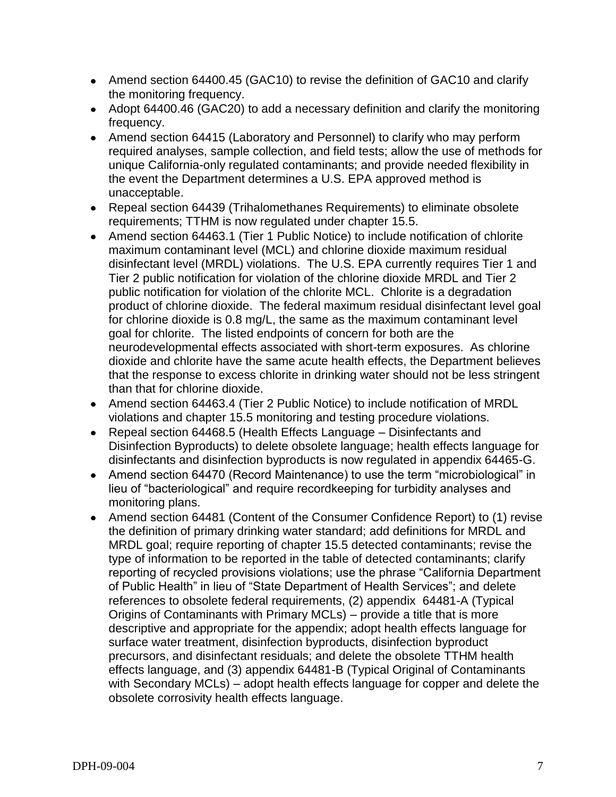- Amend section 64400.45 (GAC10) to revise the definition of GAC10 and clarify the monitoring frequency.
- Adopt 64400.46 (GAC20) to add a necessary definition and clarify the monitoring frequency.
- Amend section 64415 (Laboratory and Personnel) to clarify who may perform required analyses, sample collection, and field tests; allow the use of methods for unique California-only regulated contaminants; and provide needed flexibility in the event the Department determines a U.S. EPA approved method is unacceptable.
- Repeal section 64439 (Trihalomethanes Requirements) to eliminate obsolete requirements; TTHM is now regulated under chapter 15.5.
- Amend section 64463.1 (Tier 1 Public Notice) to include notification of chlorite maximum contaminant level (MCL) and chlorine dioxide maximum residual disinfectant level (MRDL) violations. The U.S. EPA currently requires Tier 1 and Tier 2 public notification for violation of the chlorine dioxide MRDL and Tier 2 public notification for violation of the chlorite MCL. Chlorite is a degradation product of chlorine dioxide. The federal maximum residual disinfectant level goal for chlorine dioxide is 0.8 mg/L, the same as the maximum contaminant level goal for chlorite. The listed endpoints of concern for both are the neurodevelopmental effects associated with short-term exposures. As chlorine dioxide and chlorite have the same acute health effects, the Department believes that the response to excess chlorite in drinking water should not be less stringent than that for chlorine dioxide.
- Amend section 64463.4 (Tier 2 Public Notice) to include notification of MRDL violations and chapter 15.5 monitoring and testing procedure violations.
- Repeal section 64468.5 (Health Effects Language Disinfectants and Disinfection Byproducts) to delete obsolete language; health effects language for disinfectants and disinfection byproducts is now regulated in appendix 64465-G.
- Amend section 64470 (Record Maintenance) to use the term "microbiological" in lieu of "bacteriological" and require recordkeeping for turbidity analyses and monitoring plans.
- Amend section 64481 (Content of the Consumer Confidence Report) to (1) revise the definition of primary drinking water standard; add definitions for MRDL and MRDL goal; require reporting of chapter 15.5 detected contaminants; revise the type of information to be reported in the table of detected contaminants; clarify reporting of recycled provisions violations; use the phrase "California Department of Public Health" in lieu of "State Department of Health Services"; and delete references to obsolete federal requirements, (2) appendix 64481-A (Typical Origins of Contaminants with Primary MCLs) – provide a title that is more descriptive and appropriate for the appendix; adopt health effects language for surface water treatment, disinfection byproducts, disinfection byproduct precursors, and disinfectant residuals; and delete the obsolete TTHM health effects language, and (3) appendix 64481-B (Typical Original of Contaminants with Secondary MCLs) – adopt health effects language for copper and delete the obsolete corrosivity health effects language.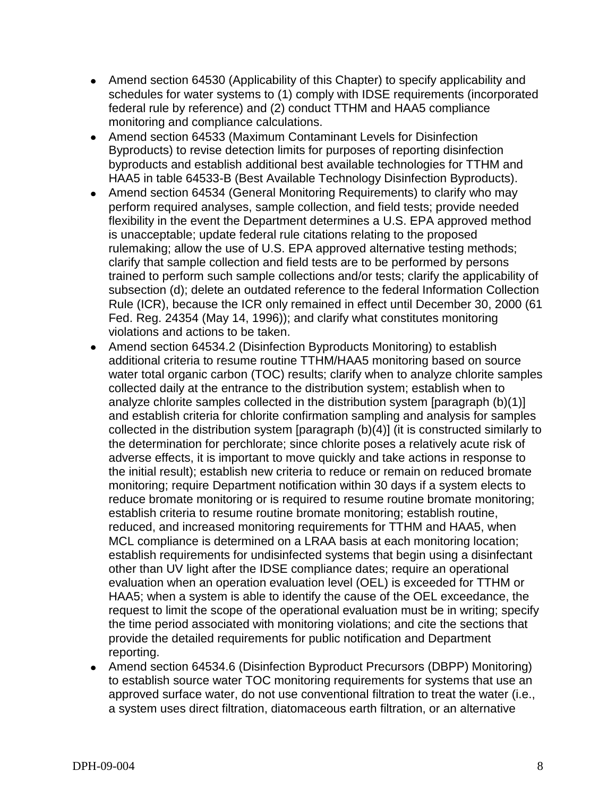- Amend section 64530 (Applicability of this Chapter) to specify applicability and schedules for water systems to (1) comply with IDSE requirements (incorporated federal rule by reference) and (2) conduct TTHM and HAA5 compliance monitoring and compliance calculations.
- Amend section 64533 (Maximum Contaminant Levels for Disinfection Byproducts) to revise detection limits for purposes of reporting disinfection byproducts and establish additional best available technologies for TTHM and HAA5 in table 64533-B (Best Available Technology Disinfection Byproducts).
- Amend section 64534 (General Monitoring Requirements) to clarify who may perform required analyses, sample collection, and field tests; provide needed flexibility in the event the Department determines a U.S. EPA approved method is unacceptable; update federal rule citations relating to the proposed rulemaking; allow the use of U.S. EPA approved alternative testing methods; clarify that sample collection and field tests are to be performed by persons trained to perform such sample collections and/or tests; clarify the applicability of subsection (d); delete an outdated reference to the federal Information Collection Rule (ICR), because the ICR only remained in effect until December 30, 2000 (61 Fed. Reg. 24354 (May 14, 1996)); and clarify what constitutes monitoring violations and actions to be taken.
- Amend section 64534.2 (Disinfection Byproducts Monitoring) to establish additional criteria to resume routine TTHM/HAA5 monitoring based on source water total organic carbon (TOC) results; clarify when to analyze chlorite samples collected daily at the entrance to the distribution system; establish when to analyze chlorite samples collected in the distribution system [paragraph (b)(1)] and establish criteria for chlorite confirmation sampling and analysis for samples collected in the distribution system [paragraph  $(b)(4)$ ] (it is constructed similarly to the determination for perchlorate; since chlorite poses a relatively acute risk of adverse effects, it is important to move quickly and take actions in response to the initial result); establish new criteria to reduce or remain on reduced bromate monitoring; require Department notification within 30 days if a system elects to reduce bromate monitoring or is required to resume routine bromate monitoring; establish criteria to resume routine bromate monitoring; establish routine, reduced, and increased monitoring requirements for TTHM and HAA5, when MCL compliance is determined on a LRAA basis at each monitoring location; establish requirements for undisinfected systems that begin using a disinfectant other than UV light after the IDSE compliance dates; require an operational evaluation when an operation evaluation level (OEL) is exceeded for TTHM or HAA5; when a system is able to identify the cause of the OEL exceedance, the request to limit the scope of the operational evaluation must be in writing; specify the time period associated with monitoring violations; and cite the sections that provide the detailed requirements for public notification and Department reporting.
- Amend section 64534.6 (Disinfection Byproduct Precursors (DBPP) Monitoring) to establish source water TOC monitoring requirements for systems that use an approved surface water, do not use conventional filtration to treat the water (i.e., a system uses direct filtration, diatomaceous earth filtration, or an alternative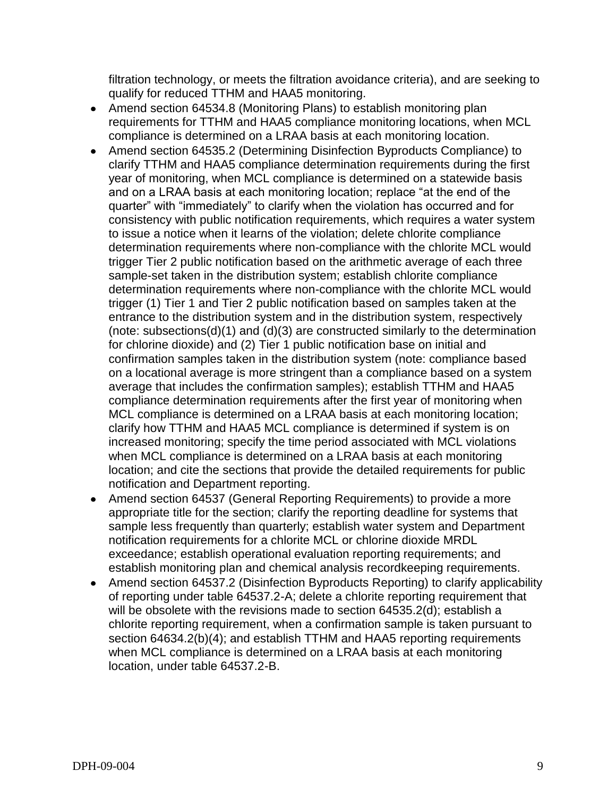filtration technology, or meets the filtration avoidance criteria), and are seeking to qualify for reduced TTHM and HAA5 monitoring.

- Amend section 64534.8 (Monitoring Plans) to establish monitoring plan requirements for TTHM and HAA5 compliance monitoring locations, when MCL compliance is determined on a LRAA basis at each monitoring location.
- Amend section 64535.2 (Determining Disinfection Byproducts Compliance) to clarify TTHM and HAA5 compliance determination requirements during the first year of monitoring, when MCL compliance is determined on a statewide basis and on a LRAA basis at each monitoring location; replace "at the end of the quarter" with "immediately" to clarify when the violation has occurred and for consistency with public notification requirements, which requires a water system to issue a notice when it learns of the violation; delete chlorite compliance determination requirements where non-compliance with the chlorite MCL would trigger Tier 2 public notification based on the arithmetic average of each three sample-set taken in the distribution system; establish chlorite compliance determination requirements where non-compliance with the chlorite MCL would trigger (1) Tier 1 and Tier 2 public notification based on samples taken at the entrance to the distribution system and in the distribution system, respectively (note: subsections(d)(1) and (d)(3) are constructed similarly to the determination for chlorine dioxide) and (2) Tier 1 public notification base on initial and confirmation samples taken in the distribution system (note: compliance based on a locational average is more stringent than a compliance based on a system average that includes the confirmation samples); establish TTHM and HAA5 compliance determination requirements after the first year of monitoring when MCL compliance is determined on a LRAA basis at each monitoring location; clarify how TTHM and HAA5 MCL compliance is determined if system is on increased monitoring; specify the time period associated with MCL violations when MCL compliance is determined on a LRAA basis at each monitoring location; and cite the sections that provide the detailed requirements for public notification and Department reporting.
- Amend section 64537 (General Reporting Requirements) to provide a more appropriate title for the section; clarify the reporting deadline for systems that sample less frequently than quarterly; establish water system and Department notification requirements for a chlorite MCL or chlorine dioxide MRDL exceedance; establish operational evaluation reporting requirements; and establish monitoring plan and chemical analysis recordkeeping requirements.
- Amend section 64537.2 (Disinfection Byproducts Reporting) to clarify applicability  $\bullet$ of reporting under table 64537.2-A; delete a chlorite reporting requirement that will be obsolete with the revisions made to section 64535.2(d); establish a chlorite reporting requirement, when a confirmation sample is taken pursuant to section 64634.2(b)(4); and establish TTHM and HAA5 reporting requirements when MCL compliance is determined on a LRAA basis at each monitoring location, under table 64537.2-B.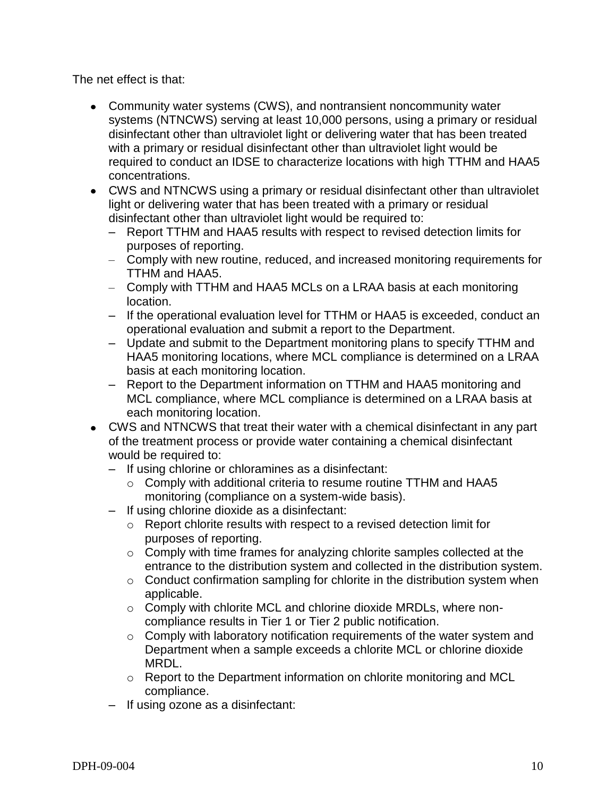The net effect is that:

- Community water systems (CWS), and nontransient noncommunity water systems (NTNCWS) serving at least 10,000 persons, using a primary or residual disinfectant other than ultraviolet light or delivering water that has been treated with a primary or residual disinfectant other than ultraviolet light would be required to conduct an IDSE to characterize locations with high TTHM and HAA5 concentrations.
- CWS and NTNCWS using a primary or residual disinfectant other than ultraviolet light or delivering water that has been treated with a primary or residual disinfectant other than ultraviolet light would be required to:
	- Report TTHM and HAA5 results with respect to revised detection limits for purposes of reporting.
	- Comply with new routine, reduced, and increased monitoring requirements for TTHM and HAA5.
	- Comply with TTHM and HAA5 MCLs on a LRAA basis at each monitoring location.
	- If the operational evaluation level for TTHM or HAA5 is exceeded, conduct an operational evaluation and submit a report to the Department.
	- Update and submit to the Department monitoring plans to specify TTHM and HAA5 monitoring locations, where MCL compliance is determined on a LRAA basis at each monitoring location.
	- Report to the Department information on TTHM and HAA5 monitoring and MCL compliance, where MCL compliance is determined on a LRAA basis at each monitoring location.
- CWS and NTNCWS that treat their water with a chemical disinfectant in any part of the treatment process or provide water containing a chemical disinfectant would be required to:
	- If using chlorine or chloramines as a disinfectant:
		- o Comply with additional criteria to resume routine TTHM and HAA5 monitoring (compliance on a system-wide basis).
	- If using chlorine dioxide as a disinfectant:
		- o Report chlorite results with respect to a revised detection limit for purposes of reporting.
		- o Comply with time frames for analyzing chlorite samples collected at the entrance to the distribution system and collected in the distribution system.
		- $\circ$  Conduct confirmation sampling for chlorite in the distribution system when applicable.
		- o Comply with chlorite MCL and chlorine dioxide MRDLs, where noncompliance results in Tier 1 or Tier 2 public notification.
		- $\circ$  Comply with laboratory notification requirements of the water system and Department when a sample exceeds a chlorite MCL or chlorine dioxide MRDL.
		- $\circ$  Report to the Department information on chlorite monitoring and MCL compliance.
	- If using ozone as a disinfectant: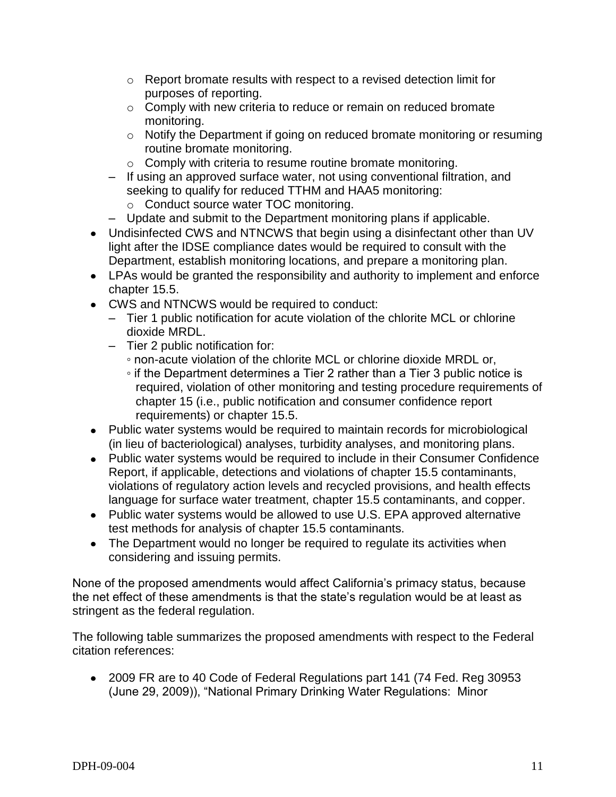- o Report bromate results with respect to a revised detection limit for purposes of reporting.
- o Comply with new criteria to reduce or remain on reduced bromate monitoring.
- o Notify the Department if going on reduced bromate monitoring or resuming routine bromate monitoring.
- o Comply with criteria to resume routine bromate monitoring.
- If using an approved surface water, not using conventional filtration, and seeking to qualify for reduced TTHM and HAA5 monitoring:
	- o Conduct source water TOC monitoring.
- Update and submit to the Department monitoring plans if applicable.
- Undisinfected CWS and NTNCWS that begin using a disinfectant other than UV light after the IDSE compliance dates would be required to consult with the Department, establish monitoring locations, and prepare a monitoring plan.
- LPAs would be granted the responsibility and authority to implement and enforce chapter 15.5.
- CWS and NTNCWS would be required to conduct:
	- Tier 1 public notification for acute violation of the chlorite MCL or chlorine dioxide MRDL.
	- Tier 2 public notification for:
		- non-acute violation of the chlorite MCL or chlorine dioxide MRDL or,
		- if the Department determines a Tier 2 rather than a Tier 3 public notice is required, violation of other monitoring and testing procedure requirements of chapter 15 (i.e., public notification and consumer confidence report requirements) or chapter 15.5.
- Public water systems would be required to maintain records for microbiological (in lieu of bacteriological) analyses, turbidity analyses, and monitoring plans.
- Public water systems would be required to include in their Consumer Confidence Report, if applicable, detections and violations of chapter 15.5 contaminants, violations of regulatory action levels and recycled provisions, and health effects language for surface water treatment, chapter 15.5 contaminants, and copper.
- Public water systems would be allowed to use U.S. EPA approved alternative test methods for analysis of chapter 15.5 contaminants.
- The Department would no longer be required to regulate its activities when considering and issuing permits.

None of the proposed amendments would affect California's primacy status, because the net effect of these amendments is that the state's regulation would be at least as stringent as the federal regulation.

The following table summarizes the proposed amendments with respect to the Federal citation references:

2009 FR are to 40 Code of Federal Regulations part 141 (74 Fed. Reg 30953 (June 29, 2009)), "National Primary Drinking Water Regulations: Minor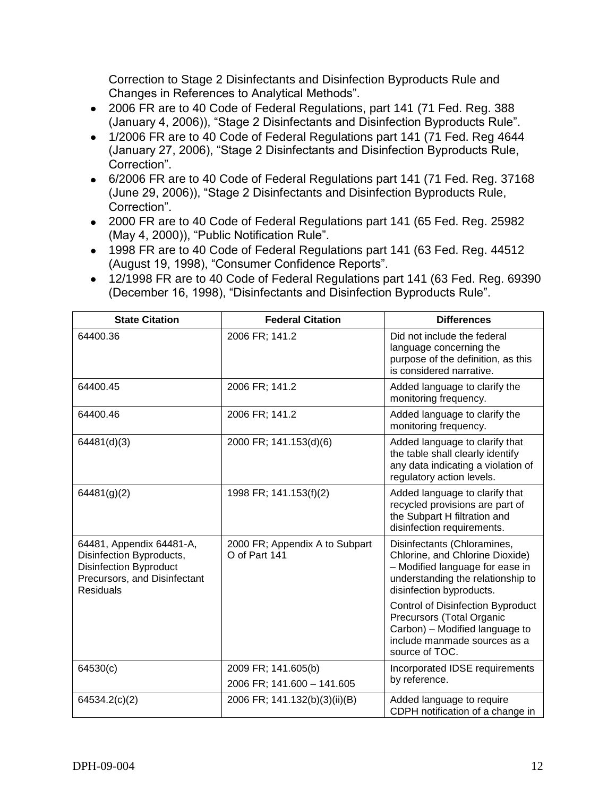Correction to Stage 2 Disinfectants and Disinfection Byproducts Rule and Changes in References to Analytical Methods".

- 2006 FR are to 40 Code of Federal Regulations, part 141 (71 Fed. Reg. 388 (January 4, 2006)), "Stage 2 Disinfectants and Disinfection Byproducts Rule".
- 1/2006 FR are to 40 Code of Federal Regulations part 141 (71 Fed. Reg 4644) (January 27, 2006), "Stage 2 Disinfectants and Disinfection Byproducts Rule, Correction".
- 6/2006 FR are to 40 Code of Federal Regulations part 141 (71 Fed. Reg. 37168 (June 29, 2006)), "Stage 2 Disinfectants and Disinfection Byproducts Rule, Correction".
- 2000 FR are to 40 Code of Federal Regulations part 141 (65 Fed. Reg. 25982 (May 4, 2000)), "Public Notification Rule".
- 1998 FR are to 40 Code of Federal Regulations part 141 (63 Fed. Reg. 44512 (August 19, 1998), "Consumer Confidence Reports".
- 12/1998 FR are to 40 Code of Federal Regulations part 141 (63 Fed. Reg. 69390 (December 16, 1998), "Disinfectants and Disinfection Byproducts Rule".

| <b>State Citation</b>                                                                                                                     | <b>Federal Citation</b>                         | <b>Differences</b>                                                                                                                                                 |
|-------------------------------------------------------------------------------------------------------------------------------------------|-------------------------------------------------|--------------------------------------------------------------------------------------------------------------------------------------------------------------------|
| 64400.36                                                                                                                                  | 2006 FR; 141.2                                  | Did not include the federal<br>language concerning the<br>purpose of the definition, as this<br>is considered narrative.                                           |
| 64400.45                                                                                                                                  | 2006 FR; 141.2                                  | Added language to clarify the<br>monitoring frequency.                                                                                                             |
| 64400.46                                                                                                                                  | 2006 FR; 141.2                                  | Added language to clarify the<br>monitoring frequency.                                                                                                             |
| 64481(d)(3)                                                                                                                               | 2000 FR; 141.153(d)(6)                          | Added language to clarify that<br>the table shall clearly identify<br>any data indicating a violation of<br>regulatory action levels.                              |
| 64481(g)(2)                                                                                                                               | 1998 FR; 141.153(f)(2)                          | Added language to clarify that<br>recycled provisions are part of<br>the Subpart H filtration and<br>disinfection requirements.                                    |
| 64481, Appendix 64481-A,<br>Disinfection Byproducts,<br><b>Disinfection Byproduct</b><br>Precursors, and Disinfectant<br><b>Residuals</b> | 2000 FR; Appendix A to Subpart<br>O of Part 141 | Disinfectants (Chloramines,<br>Chlorine, and Chlorine Dioxide)<br>- Modified language for ease in<br>understanding the relationship to<br>disinfection byproducts. |
|                                                                                                                                           |                                                 | <b>Control of Disinfection Byproduct</b><br>Precursors (Total Organic<br>Carbon) - Modified language to<br>include manmade sources as a<br>source of TOC.          |
| 64530(c)                                                                                                                                  | 2009 FR; 141.605(b)                             | Incorporated IDSE requirements<br>by reference.                                                                                                                    |
|                                                                                                                                           | 2006 FR; 141.600 - 141.605                      |                                                                                                                                                                    |
| 64534.2(c)(2)                                                                                                                             | 2006 FR; 141.132(b)(3)(ii)(B)                   | Added language to require<br>CDPH notification of a change in                                                                                                      |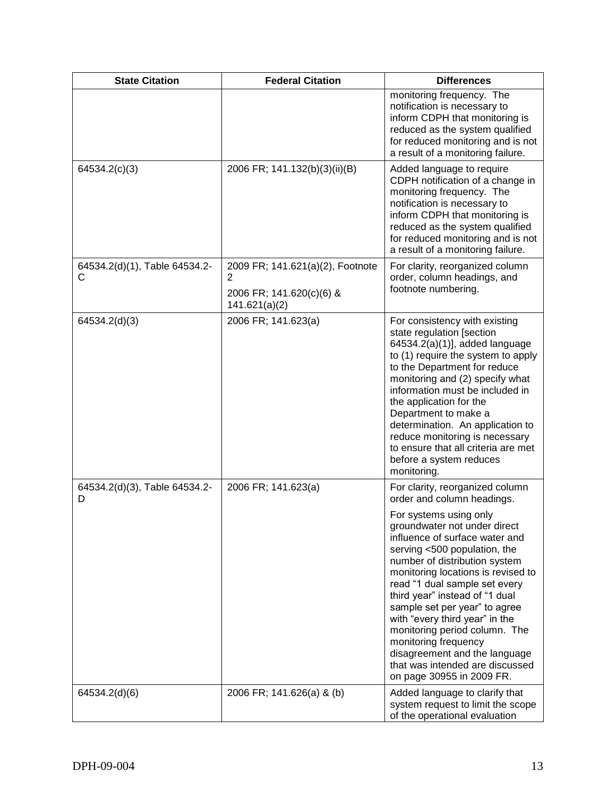| <b>State Citation</b>              | <b>Federal Citation</b>                                                            | <b>Differences</b>                                                                                                                                                                                                                                                                                                                                                                                                                                                                                                                                               |
|------------------------------------|------------------------------------------------------------------------------------|------------------------------------------------------------------------------------------------------------------------------------------------------------------------------------------------------------------------------------------------------------------------------------------------------------------------------------------------------------------------------------------------------------------------------------------------------------------------------------------------------------------------------------------------------------------|
|                                    |                                                                                    | monitoring frequency. The<br>notification is necessary to<br>inform CDPH that monitoring is<br>reduced as the system qualified<br>for reduced monitoring and is not<br>a result of a monitoring failure.                                                                                                                                                                                                                                                                                                                                                         |
| 64534.2(c)(3)                      | 2006 FR; 141.132(b)(3)(ii)(B)                                                      | Added language to require<br>CDPH notification of a change in<br>monitoring frequency. The<br>notification is necessary to<br>inform CDPH that monitoring is<br>reduced as the system qualified<br>for reduced monitoring and is not<br>a result of a monitoring failure.                                                                                                                                                                                                                                                                                        |
| 64534.2(d)(1), Table 64534.2-<br>C | 2009 FR; 141.621(a)(2), Footnote<br>2<br>2006 FR; 141.620(c)(6) &<br>141.621(a)(2) | For clarity, reorganized column<br>order, column headings, and<br>footnote numbering.                                                                                                                                                                                                                                                                                                                                                                                                                                                                            |
| 64534.2(d)(3)                      | 2006 FR; 141.623(a)                                                                | For consistency with existing<br>state regulation [section<br>64534.2(a)(1)], added language<br>to (1) require the system to apply<br>to the Department for reduce<br>monitoring and (2) specify what<br>information must be included in<br>the application for the<br>Department to make a<br>determination. An application to<br>reduce monitoring is necessary<br>to ensure that all criteria are met<br>before a system reduces<br>monitoring.                                                                                                               |
| 64534.2(d)(3), Table 64534.2-<br>D | 2006 FR; 141.623(a)                                                                | For clarity, reorganized column<br>order and column headings.<br>For systems using only<br>groundwater not under direct<br>influence of surface water and<br>serving <500 population, the<br>number of distribution system<br>monitoring locations is revised to<br>read "1 dual sample set every<br>third year" instead of "1 dual<br>sample set per year" to agree<br>with "every third year" in the<br>monitoring period column. The<br>monitoring frequency<br>disagreement and the language<br>that was intended are discussed<br>on page 30955 in 2009 FR. |
| 64534.2(d)(6)                      | 2006 FR; 141.626(a) & (b)                                                          | Added language to clarify that<br>system request to limit the scope<br>of the operational evaluation                                                                                                                                                                                                                                                                                                                                                                                                                                                             |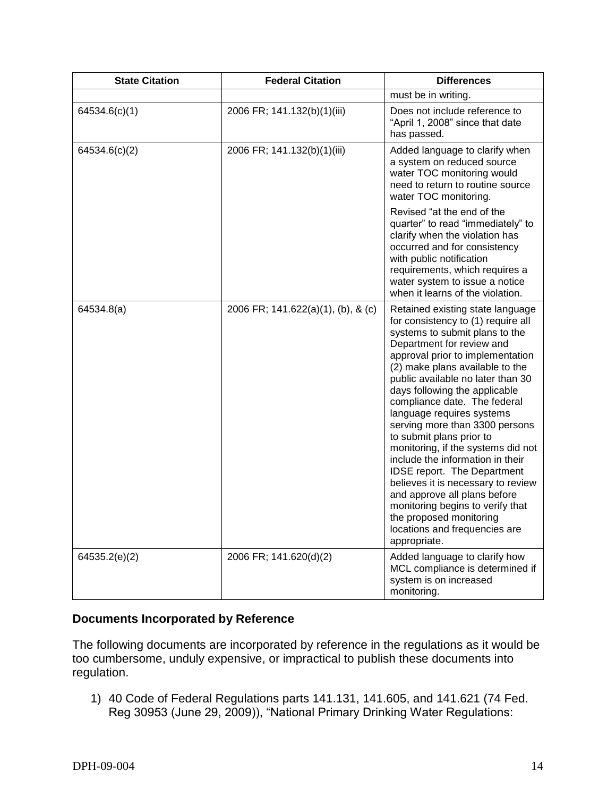| <b>State Citation</b> | <b>Federal Citation</b>            | <b>Differences</b>                                                                                                                                                                                                                                                                                                                                                                                                                                                                                                                                                                                                                                                                                           |
|-----------------------|------------------------------------|--------------------------------------------------------------------------------------------------------------------------------------------------------------------------------------------------------------------------------------------------------------------------------------------------------------------------------------------------------------------------------------------------------------------------------------------------------------------------------------------------------------------------------------------------------------------------------------------------------------------------------------------------------------------------------------------------------------|
|                       |                                    | must be in writing.                                                                                                                                                                                                                                                                                                                                                                                                                                                                                                                                                                                                                                                                                          |
| 64534.6(c)(1)         | 2006 FR; 141.132(b)(1)(iii)        | Does not include reference to<br>"April 1, 2008" since that date<br>has passed.                                                                                                                                                                                                                                                                                                                                                                                                                                                                                                                                                                                                                              |
| 64534.6(c)(2)         | 2006 FR; 141.132(b)(1)(iii)        | Added language to clarify when<br>a system on reduced source<br>water TOC monitoring would<br>need to return to routine source<br>water TOC monitoring.                                                                                                                                                                                                                                                                                                                                                                                                                                                                                                                                                      |
|                       |                                    | Revised "at the end of the<br>quarter" to read "immediately" to<br>clarify when the violation has<br>occurred and for consistency<br>with public notification<br>requirements, which requires a<br>water system to issue a notice<br>when it learns of the violation.                                                                                                                                                                                                                                                                                                                                                                                                                                        |
| 64534.8(a)            | 2006 FR; 141.622(a)(1), (b), & (c) | Retained existing state language<br>for consistency to (1) require all<br>systems to submit plans to the<br>Department for review and<br>approval prior to implementation<br>(2) make plans available to the<br>public available no later than 30<br>days following the applicable<br>compliance date. The federal<br>language requires systems<br>serving more than 3300 persons<br>to submit plans prior to<br>monitoring, if the systems did not<br>include the information in their<br>IDSE report. The Department<br>believes it is necessary to review<br>and approve all plans before<br>monitoring begins to verify that<br>the proposed monitoring<br>locations and frequencies are<br>appropriate. |
| 64535.2(e)(2)         | 2006 FR; 141.620(d)(2)             | Added language to clarify how<br>MCL compliance is determined if<br>system is on increased<br>monitoring.                                                                                                                                                                                                                                                                                                                                                                                                                                                                                                                                                                                                    |

### **Documents Incorporated by Reference**

The following documents are incorporated by reference in the regulations as it would be too cumbersome, unduly expensive, or impractical to publish these documents into regulation.

1) 40 Code of Federal Regulations parts 141.131, 141.605, and 141.621 (74 Fed. Reg 30953 (June 29, 2009)), "National Primary Drinking Water Regulations: